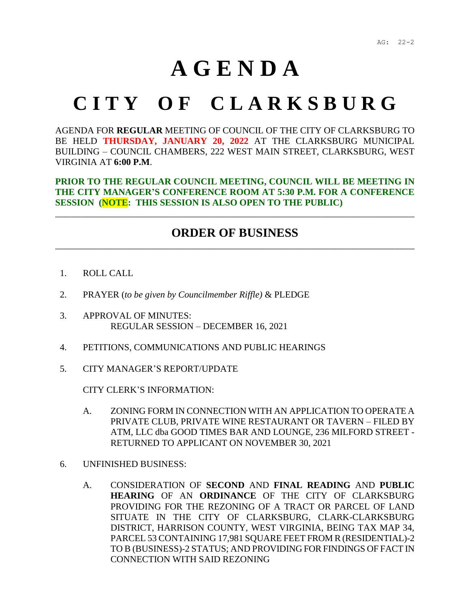## **A G E N D A**

## **C I T Y O F C L A R K S B U R G**

AGENDA FOR **REGULAR** MEETING OF COUNCIL OF THE CITY OF CLARKSBURG TO BE HELD **THURSDAY, JANUARY 20, 2022** AT THE CLARKSBURG MUNICIPAL BUILDING – COUNCIL CHAMBERS, 222 WEST MAIN STREET, CLARKSBURG, WEST VIRGINIA AT **6:00 P.M**.

**PRIOR TO THE REGULAR COUNCIL MEETING, COUNCIL WILL BE MEETING IN THE CITY MANAGER'S CONFERENCE ROOM AT 5:30 P.M. FOR A CONFERENCE SESSION (NOTE: THIS SESSION IS ALSO OPEN TO THE PUBLIC)**

## **ORDER OF BUSINESS** \_\_\_\_\_\_\_\_\_\_\_\_\_\_\_\_\_\_\_\_\_\_\_\_\_\_\_\_\_\_\_\_\_\_\_\_\_\_\_\_\_\_\_\_\_\_\_\_\_\_\_\_\_\_\_\_\_\_\_\_\_\_\_\_\_\_\_\_\_\_\_\_\_\_\_\_\_\_\_\_

\_\_\_\_\_\_\_\_\_\_\_\_\_\_\_\_\_\_\_\_\_\_\_\_\_\_\_\_\_\_\_\_\_\_\_\_\_\_\_\_\_\_\_\_\_\_\_\_\_\_\_\_\_\_\_\_\_\_\_\_\_\_\_\_\_\_\_\_\_\_\_\_\_\_\_\_\_\_

- 1. ROLL CALL
- 2. PRAYER (*to be given by Councilmember Riffle)* & PLEDGE
- 3. APPROVAL OF MINUTES: REGULAR SESSION – DECEMBER 16, 2021
- 4. PETITIONS, COMMUNICATIONS AND PUBLIC HEARINGS
- 5. CITY MANAGER'S REPORT/UPDATE

CITY CLERK'S INFORMATION:

- A. ZONING FORM IN CONNECTION WITH AN APPLICATION TO OPERATE A PRIVATE CLUB, PRIVATE WINE RESTAURANT OR TAVERN – FILED BY ATM, LLC dba GOOD TIMES BAR AND LOUNGE, 236 MILFORD STREET - RETURNED TO APPLICANT ON NOVEMBER 30, 2021
- 6. UNFINISHED BUSINESS:
	- A. CONSIDERATION OF **SECOND** AND **FINAL READING** AND **PUBLIC HEARING** OF AN **ORDINANCE** OF THE CITY OF CLARKSBURG PROVIDING FOR THE REZONING OF A TRACT OR PARCEL OF LAND SITUATE IN THE CITY OF CLARKSBURG, CLARK-CLARKSBURG DISTRICT, HARRISON COUNTY, WEST VIRGINIA, BEING TAX MAP 34, PARCEL 53 CONTAINING 17,981 SQUARE FEET FROM R (RESIDENTIAL)-2 TO B (BUSINESS)-2 STATUS; AND PROVIDING FOR FINDINGS OF FACT IN CONNECTION WITH SAID REZONING